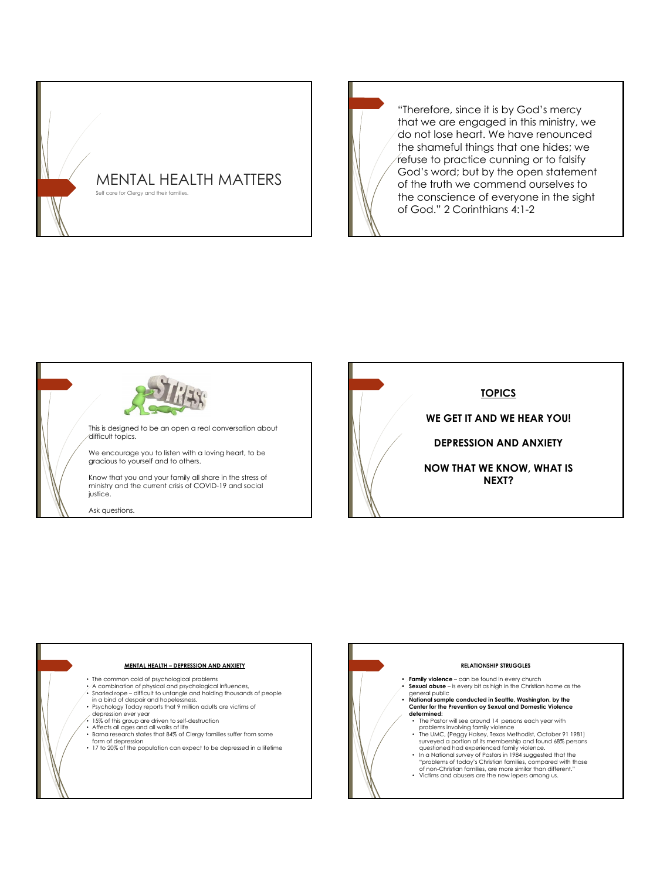

"Therefore, since it is by God's mercy that we are engaged in this ministry, we do not lose heart. We have renounced the shameful things that one hides; we refuse to practice cunning or to falsify God's word; but by the open statement of the truth we commend ourselves to the conscience of everyone in the sight of God." 2 Corinthians 4:1-2



This is designed to be an open a real conversation about difficult topics.

We encourage you to listen with a loving heart, to be gracious to yourself and to others.

Know that you and your family all share in the stress of ministry and the current crisis of COVID-19 and social justice.

Ask questions.



## **MENTAL HEALTH – DEPRESSION AND ANXIETY**

- 
- The common cold of psychological problems A combination of physical and psychological influences,
- 
- Snarled rope difficult to untangle and holding thousands of people<br>in a bind of despair and hopelessness.<br>• Psychology Today reports that 9 million adults are victims of<br>clapression ever year
- 
- 15% of this group are driven to self-destruction Affects all ages and all walks of life
- 
- 
- Barna research states that 84% of Clergy families suffer from some<br>• form of depression<br>• 17 to 20% of the population can expect to be depressed in a lifetime

# **RELATIONSHIP STRUGGLES**

- **• Family violence**  can be found in every church **• Sexual abuse**  is every bit as high in the Christian home as the
- general public<br>•• **National sample conducted in Seattle, Washington, by the Center for the Prevention oy Sexual and Domestic Violence<br>Center for the Prevention oy Sexual and Domestic Violence<br>determined:** 
	- The Pastor will see around 14 persons each year with problems involving family violence
	- The UMC, (Peggy Halsey, Texas Methodist, October 91 1981)<br>surveyed a portion of its membership and found 68% persons<br>questioned had experienced family violence.
	- In a National survey of Pastors in 1984 suggested that the "problems of today's Christian families, compared with those of non-Christian families, are more similar than different."
	- Victims and abusers are the new lepers among us.